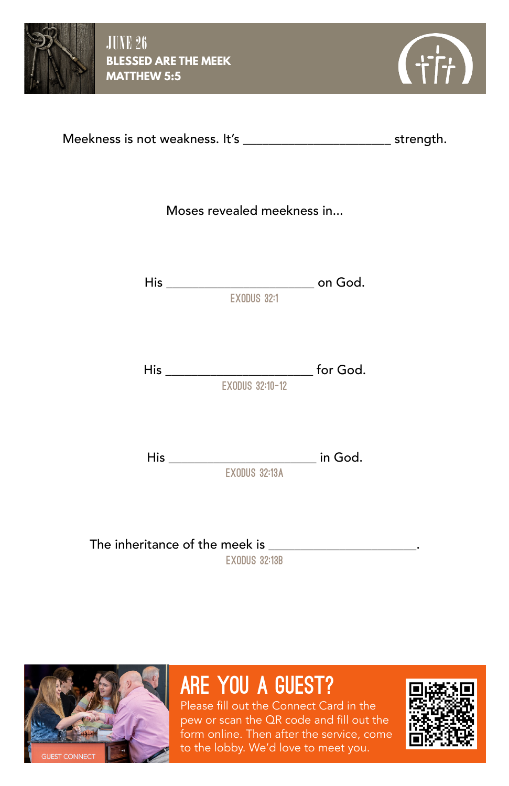



| Meekness is not weakness. It's | strength. |
|--------------------------------|-----------|
|--------------------------------|-----------|

Moses revealed meekness in...

His \_\_\_\_\_\_\_\_\_\_\_\_\_\_\_\_\_\_\_\_\_\_\_ on God. exodus 32:1

His \_\_\_\_\_\_\_\_\_\_\_\_\_\_\_\_\_\_\_\_\_\_\_ for God. exodus 32:10-12

His \_\_\_\_\_\_\_\_\_\_\_\_\_\_\_\_\_\_\_\_\_\_\_ in God.  $\overline{\phantom{a}}$  FXNDIIS 32:13A

The inheritance of the meek is  $\blacksquare$ EXODUS 32:13B



# are you a guest?

Please fill out the Connect Card in the pew or scan the QR code and fill out the form online. Then after the service, come to the lobby. We'd love to meet you.